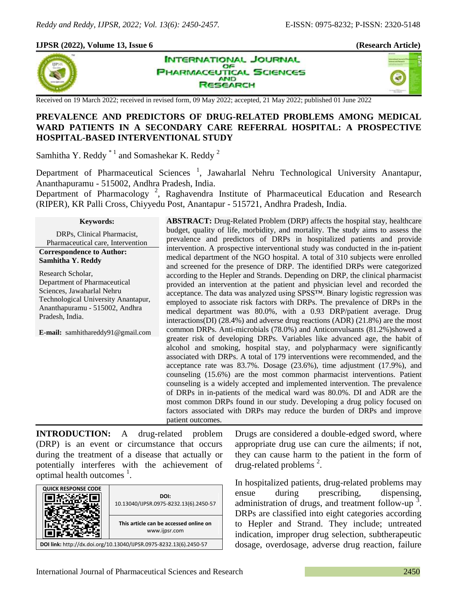## **IJPSR (2022), Volume 13, Issue 6 (Research Article)**



**INTERNATIONAL JOURNAL** OF **HARMACEUTICAL SCIENCES AND ESEARCH** 



Received on 19 March 2022; received in revised form, 09 May 2022; accepted, 21 May 2022; published 01 June 2022

## **PREVALENCE AND PREDICTORS OF DRUG-RELATED PROBLEMS AMONG MEDICAL WARD PATIENTS IN A SECONDARY CARE REFERRAL HOSPITAL: A PROSPECTIVE HOSPITAL-BASED INTERVENTIONAL STUDY**

Samhitha Y. Reddy<sup> $*1$ </sup> and Somashekar K. Reddy<sup>2</sup>

Department of Pharmaceutical Sciences<sup>1</sup>, Jawaharlal Nehru Technological University Anantapur, Ananthapuramu - 515002, Andhra Pradesh, India.

Department of Pharmacology<sup>2</sup>, Raghavendra Institute of Pharmaceutical Education and Research (RIPER), KR Palli Cross, Chiyyedu Post, Anantapur - 515721, Andhra Pradesh, India.

**Keywords:**

DRPs, Clinical Pharmacist, Pharmaceutical care, Intervention

**Correspondence to Author: Samhitha Y. Reddy**

Research Scholar, Department of Pharmaceutical Sciences, Jawaharlal Nehru Technological University Anantapur, Ananthapuramu - 515002, Andhra Pradesh, India.

**E-mail:** samhithareddy91@gmail.com

**ABSTRACT:** Drug-Related Problem (DRP) affects the hospital stay, healthcare budget, quality of life, morbidity, and mortality. The study aims to assess the prevalence and predictors of DRPs in hospitalized patients and provide intervention. A prospective interventional study was conducted in the in-patient medical department of the NGO hospital. A total of 310 subjects were enrolled and screened for the presence of DRP. The identified DRPs were categorized according to the Hepler and Strands. Depending on DRP, the clinical pharmacist provided an intervention at the patient and physician level and recorded the acceptance. The data was analyzed using SPSS™. Binary logistic regression was employed to associate risk factors with DRPs. The prevalence of DRPs in the medical department was 80.0%, with a 0.93 DRP/patient average. Drug interactions(DI) (28.4%) and adverse drug reactions (ADR) (21.8%) are the most common DRPs. Anti-microbials (78.0%) and Anticonvulsants (81.2%)showed a greater risk of developing DRPs. Variables like advanced age, the habit of alcohol and smoking, hospital stay, and polypharmacy were significantly associated with DRPs. A total of 179 interventions were recommended, and the acceptance rate was 83.7%. Dosage (23.6%), time adjustment (17.9%), and counseling (15.6%) are the most common pharmacist interventions. Patient counseling is a widely accepted and implemented intervention. The prevalence of DRPs in in-patients of the medical ward was 80.0%. DI and ADR are the most common DRPs found in our study. Developing a drug policy focused on factors associated with DRPs may reduce the burden of DRPs and improve patient outcomes.

**INTRODUCTION:** A drug-related problem (DRP) is an event or circumstance that occurs during the treatment of a disease that actually or potentially interferes with the achievement of optimal health outcomes  $\frac{1}{1}$ .

| <b>QUICK RESPONSE CODE</b>                                         | DOI:<br>10.13040/IJPSR.0975-8232.13(6).2450-57          |  |  |  |
|--------------------------------------------------------------------|---------------------------------------------------------|--|--|--|
|                                                                    | This article can be accessed online on<br>www.ijpsr.com |  |  |  |
| DOI link: http://dx.doi.org/10.13040/IJPSR.0975-8232.13(6).2450-57 |                                                         |  |  |  |

Drugs are considered a double-edged sword, where appropriate drug use can cure the ailments; if not, they can cause harm to the patient in the form of drug-related problems  $2$ .

In hospitalized patients, drug-related problems may ensue during prescribing, dispensing, administration of drugs, and treatment follow-up<sup>3</sup>. DRPs are classified into eight categories according to Hepler and Strand. They include; untreated indication, improper drug selection, subtherapeutic dosage, overdosage, adverse drug reaction, failure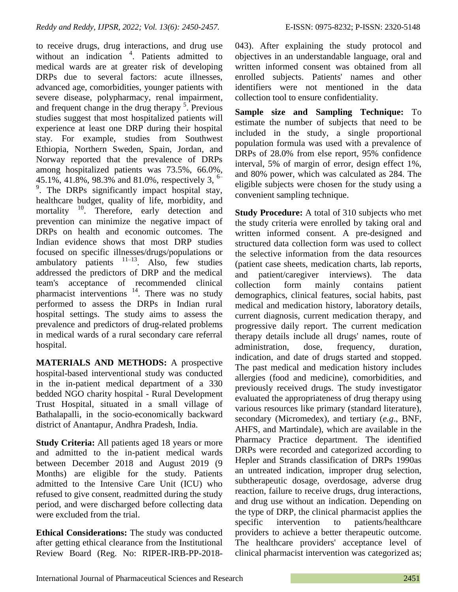to receive drugs, drug interactions, and drug use without an indication <sup>4</sup>. Patients admitted to medical wards are at greater risk of developing DRPs due to several factors: acute illnesses, advanced age, comorbidities, younger patients with severe disease, polypharmacy, renal impairment, and frequent change in the drug therapy  $5$ . Previous studies suggest that most hospitalized patients will experience at least one DRP during their hospital stay. For example, studies from Southwest Ethiopia, Northern Sweden, Spain, Jordan, and Norway reported that the prevalence of DRPs among hospitalized patients was 73.5%, 66.0%, 45.1%, 41.8%, 98.3% and 81.0%, respectively 3,  $^{\circ-}$ <sup>9</sup>. The DRPs significantly impact hospital stay, healthcare budget, quality of life, morbidity, and mortality <sup>10</sup>. Therefore, early detection and prevention can minimize the negative impact of DRPs on health and economic outcomes. The Indian evidence shows that most DRP studies focused on specific illnesses/drugs/populations or ambulatory patients  $11-13$ . Also, few studies addressed the predictors of DRP and the medical team's acceptance of recommended clinical pharmacist interventions<sup>14</sup>. There was no study performed to assess the DRPs in Indian rural hospital settings. The study aims to assess the prevalence and predictors of drug-related problems in medical wards of a rural secondary care referral hospital.

**MATERIALS AND METHODS:** A prospective hospital-based interventional study was conducted in the in-patient medical department of a 330 bedded NGO charity hospital - Rural Development Trust Hospital, situated in a small village of Bathalapalli, in the socio-economically backward district of Anantapur, Andhra Pradesh, India.

**Study Criteria:** All patients aged 18 years or more and admitted to the in-patient medical wards between December 2018 and August 2019 (9 Months) are eligible for the study. Patients admitted to the Intensive Care Unit (ICU) who refused to give consent, readmitted during the study period, and were discharged before collecting data were excluded from the trial.

**Ethical Considerations:** The study was conducted after getting ethical clearance from the Institutional Review Board (Reg. No: RIPER-IRB-PP-2018043). After explaining the study protocol and objectives in an understandable language, oral and written informed consent was obtained from all enrolled subjects. Patients' names and other identifiers were not mentioned in the data collection tool to ensure confidentiality.

**Sample size and Sampling Technique:** To estimate the number of subjects that need to be included in the study, a single proportional population formula was used with a prevalence of DRPs of 28.0% from else report, 95% confidence interval, 5% of margin of error, design effect 1%, and 80% power, which was calculated as 284. The eligible subjects were chosen for the study using a convenient sampling technique.

**Study Procedure:** A total of 310 subjects who met the study criteria were enrolled by taking oral and written informed consent. A pre-designed and structured data collection form was used to collect the selective information from the data resources (patient case sheets, medication charts, lab reports, and patient/caregiver interviews). The data collection form mainly contains patient demographics, clinical features, social habits, past medical and medication history, laboratory details, current diagnosis, current medication therapy, and progressive daily report. The current medication therapy details include all drugs' names, route of administration, dose, frequency, duration, indication, and date of drugs started and stopped. The past medical and medication history includes allergies (food and medicine), comorbidities, and previously received drugs. The study investigator evaluated the appropriateness of drug therapy using various resources like primary (standard literature), secondary (Micromedex), and tertiary (*e.g*., BNF, AHFS, and Martindale), which are available in the Pharmacy Practice department. The identified DRPs were recorded and categorized according to Hepler and Strands classification of DRPs 1990as an untreated indication, improper drug selection, subtherapeutic dosage, overdosage, adverse drug reaction, failure to receive drugs, drug interactions, and drug use without an indication. Depending on the type of DRP, the clinical pharmacist applies the specific intervention to patients/healthcare providers to achieve a better therapeutic outcome. The healthcare providers' acceptance level of clinical pharmacist intervention was categorized as;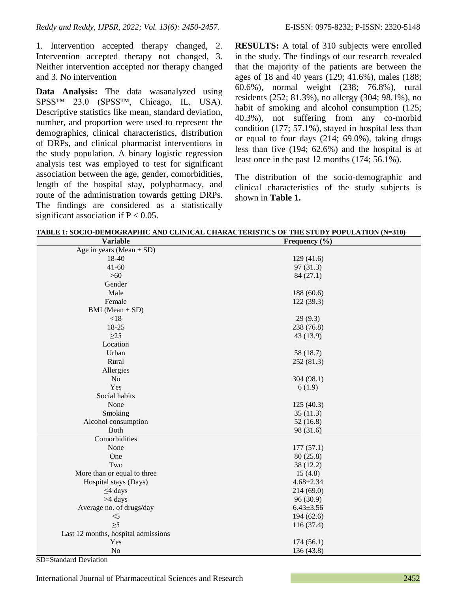1. Intervention accepted therapy changed, 2. Intervention accepted therapy not changed, 3. Neither intervention accepted nor therapy changed and 3. No intervention

**Data Analysis:** The data wasanalyzed using SPSS™ 23.0 (SPSS™, Chicago, IL, USA). Descriptive statistics like mean, standard deviation, number, and proportion were used to represent the demographics, clinical characteristics, distribution of DRPs, and clinical pharmacist interventions in the study population. A binary logistic regression analysis test was employed to test for significant association between the age, gender, comorbidities, length of the hospital stay, polypharmacy, and route of the administration towards getting DRPs. The findings are considered as a statistically significant association if  $P < 0.05$ .

**RESULTS:** A total of 310 subjects were enrolled in the study. The findings of our research revealed that the majority of the patients are between the ages of 18 and 40 years (129; 41.6%), males (188; 60.6%), normal weight (238; 76.8%), rural residents (252; 81.3%), no allergy (304; 98.1%), no habit of smoking and alcohol consumption (125; 40.3%), not suffering from any co-morbid condition (177; 57.1%), stayed in hospital less than or equal to four days (214; 69.0%), taking drugs less than five (194; 62.6%) and the hospital is at least once in the past 12 months (174; 56.1%).

The distribution of the socio-demographic and clinical characteristics of the study subjects is shown in **Table 1.**

| <b>Variable</b>                     | Frequency $(\% )$ |
|-------------------------------------|-------------------|
| Age in years (Mean $\pm$ SD)        |                   |
| 18-40                               | 129(41.6)         |
| $41 - 60$                           | 97 (31.3)         |
| $>60$                               | 84(27.1)          |
| Gender                              |                   |
| Male                                | 188 (60.6)        |
| Female                              | 122 (39.3)        |
| $BMI (Mean \pm SD)$                 |                   |
| $<18$                               | 29(9.3)           |
| 18-25                               | 238 (76.8)        |
| $\geq$ 25                           | 43 (13.9)         |
| Location                            |                   |
| Urban                               | 58 (18.7)         |
| Rural                               | 252 (81.3)        |
| Allergies                           |                   |
| N <sub>o</sub>                      | 304 (98.1)        |
| Yes                                 | 6(1.9)            |
| Social habits                       |                   |
| None                                | 125(40.3)         |
| Smoking                             | 35(11.3)          |
| Alcohol consumption                 | 52(16.8)          |
| <b>Both</b>                         | 98 (31.6)         |
| Comorbidities                       |                   |
| None                                | 177(57.1)         |
| One                                 | 80(25.8)          |
| Two                                 | 38 (12.2)         |
| More than or equal to three         | 15(4.8)           |
| Hospital stays (Days)               | $4.68 \pm 2.34$   |
| $\leq$ 4 days                       | 214 (69.0)        |
| >4 days                             | 96(30.9)          |
| Average no. of drugs/day            | $6.43 \pm 3.56$   |
| $<$ 5                               | 194(62.6)         |
| $\geq 5$                            | 116 (37.4)        |
| Last 12 months, hospital admissions |                   |
| Yes                                 | 174(56.1)         |
| $\rm No$                            | 136 (43.8)        |

**TABLE 1: SOCIO-DEMOGRAPHIC AND CLINICAL CHARACTERISTICS OF THE STUDY POPULATION (N=310)**

SD=Standard Deviation

International Journal of Pharmaceutical Sciences and Research 2452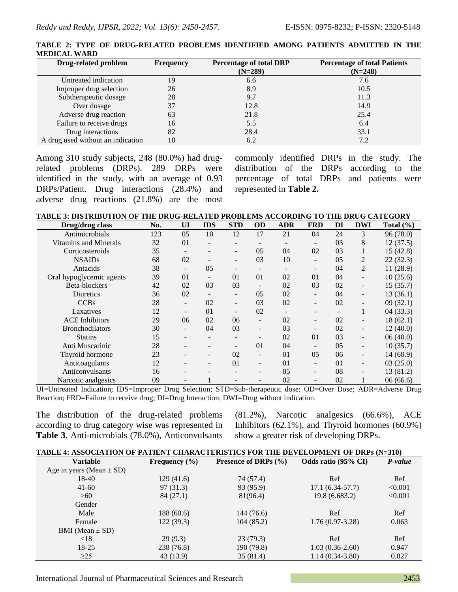| <b>Drug-related problem</b>       | <b>Frequency</b> | <b>Percentage of total DRP</b><br>$(N=289)$ | <b>Percentage of total Patients</b><br>$(N=248)$ |
|-----------------------------------|------------------|---------------------------------------------|--------------------------------------------------|
| Untreated indication              | 19               | 6.6                                         | 7.6                                              |
| Improper drug selection           | 26               | 8.9                                         | 10.5                                             |
| Subtherapeutic dosage             | 28               | 9.7                                         | 11.3                                             |
| Over dosage                       | 37               | 12.8                                        | 14.9                                             |
| Adverse drug reaction             | 63               | 21.8                                        | 25.4                                             |
| Failure to receive drugs          | 16               | 5.5                                         | 6.4                                              |
| Drug interactions                 | 82               | 28.4                                        | 33.1                                             |
| A drug used without an indication | 18               | 6.2                                         | 7.2                                              |

**TABLE 2: TYPE OF DRUG-RELATED PROBLEMS IDENTIFIED AMONG PATIENTS ADMITTED IN THE MEDICAL WARD**

Among 310 study subjects, 248 (80.0%) had drugrelated problems (DRPs). 289 DRPs were identified in the study, with an average of 0.93 DRPs/Patient. Drug interactions (28.4%) and adverse drug reactions (21.8%) are the most commonly identified DRPs in the study. The distribution of the DRPs according to the percentage of total DRPs and patients were represented in **Table 2.**

**TABLE 3: DISTRIBUTION OF THE DRUG-RELATED PROBLEMS ACCORDING TO THE DRUG CATEGORY**

| Drug/drug class          | No. | UI                       | <b>IDS</b> | <b>STD</b>               | <b>OD</b>                | <b>ADR</b> | <b>FRD</b>               | DI                       | <b>DWI</b>               | Total $(\% )$ |
|--------------------------|-----|--------------------------|------------|--------------------------|--------------------------|------------|--------------------------|--------------------------|--------------------------|---------------|
| Antimicrobials           | 123 | 05                       | 10         | 12                       | 17                       | 21         | 04                       | 24                       | 3                        | 96 (78.0)     |
| Vitamins and Minerals    | 32  | 01                       |            |                          |                          |            | $\overline{\phantom{0}}$ | 03                       | 8                        | 12(37.5)      |
| Corticosteroids          | 35  |                          |            | $\overline{\phantom{0}}$ | 05                       | 04         | 02                       | 03                       | $\mathbf{I}$             | 15(42.8)      |
| <b>NSAIDs</b>            | 68  | 02                       |            | -                        | 03                       | 10         | $\overline{\phantom{a}}$ | 05                       | 2                        | 22(32.3)      |
| Antacids                 | 38  | $\overline{\phantom{a}}$ | 05         | $\overline{\phantom{a}}$ |                          |            | $\overline{\phantom{0}}$ | 04                       | 2                        | 11(28.9)      |
| Oral hypoglycemic agents | 39  | 01                       |            | 01                       | 01                       | 02         | 01                       | 04                       |                          | 10(25.6)      |
| Beta-blockers            | 42  | 02                       | 03         | 03                       |                          | 02         | 03                       | 02                       |                          | 15(35.7)      |
| Diuretics                | 36  | 02                       |            | -                        | 05                       | 02         | $\overline{\phantom{a}}$ | 04                       |                          | 13(36.1)      |
| <b>CCBs</b>              | 28  | $\overline{\phantom{a}}$ | 02         | -                        | 03                       | 02         | $\overline{\phantom{a}}$ | 02                       | $\overline{\phantom{0}}$ | 09(32.1)      |
| Laxatives                | 12  | $\overline{\phantom{a}}$ | 01         | ۰                        | 02                       |            | $\overline{\phantom{0}}$ | $\overline{\phantom{0}}$ |                          | 04(33.3)      |
| <b>ACE</b> Inhibitors    | 29  | 06                       | 02         | 06                       | $\overline{\phantom{a}}$ | 02         | $\overline{\phantom{a}}$ | 02                       |                          | 18(62.1)      |
| <b>Bronchodilators</b>   | 30  | Ξ.                       | 04         | 03                       | $\overline{\phantom{a}}$ | 03         | $\overline{\phantom{a}}$ | 02                       |                          | 12(40.0)      |
| <b>Statins</b>           | 15  |                          |            | $\overline{\phantom{0}}$ |                          | 02         | 01                       | 03                       |                          | 06(40.0)      |
| Anti Muscarinic          | 28  |                          |            | -                        | 0 <sub>1</sub>           | 04         | $\overline{\phantom{a}}$ | 0.5                      |                          | 10(35.7)      |
| Thyroid hormone          | 23  |                          |            | 02                       | $\overline{\phantom{a}}$ | 01         | 05                       | 06                       |                          | 14(60.9)      |
| Anticoagulants           | 12  |                          |            | 01                       | -                        | 01         | $\overline{\phantom{a}}$ | 01                       |                          | 03(25.0)      |
| Anticonvulsants          | 16  |                          |            |                          |                          | 05         | $\overline{\phantom{0}}$ | 08                       |                          | 13 (81.2)     |
| Narcotic analgesics      | 09  |                          |            |                          |                          | 02         | $\overline{\phantom{0}}$ | 02                       |                          | 06(66.6)      |

UI=Untreated Indication; IDS=Improper Drug Selection; STD=Sub-therapeutic dose; OD=Over Dose; ADR=Adverse Drug Reaction; FRD=Failure to receive drug; DI=Drug Interaction; DWI=Drug without indication.

The distribution of the drug-related problems according to drug category wise was represented in **Table 3**. Anti-microbials (78.0%), Anticonvulsants (81.2%), Narcotic analgesics (66.6%), ACE Inhibitors (62.1%), and Thyroid hormones (60.9%) show a greater risk of developing DRPs.

| <b>Variable</b>              | Frequency $(\% )$ | Presence of DRPs $(\% )$ | Odds ratio (95% CI) | P-value |
|------------------------------|-------------------|--------------------------|---------------------|---------|
| Age in years (Mean $\pm$ SD) |                   |                          |                     |         |
| 18-40                        | 129(41.6)         | 74 (57.4)                | Ref                 | Ref     |
| $41-60$                      | 97 (31.3)         | 93 (95.9)                | $17.1(6.34-57.7)$   | < 0.001 |
| >60                          | 84(27.1)          | 81(96.4)                 | 19.8 (6.683.2)      | < 0.001 |
| Gender                       |                   |                          |                     |         |
| Male                         | 188 (60.6)        | 144 (76.6)               | Ref                 | Ref     |
| Female                       | 122 (39.3)        | 104(85.2)                | $1.76(0.97-3.28)$   | 0.063   |
| BMI (Mean $\pm$ SD)          |                   |                          |                     |         |
| < 18                         | 29(9.3)           | 23(79.3)                 | Ref                 | Ref     |
| $18-25$                      | 238 (76.8)        | 190 (79.8)               | $1.03(0.36-2.60)$   | 0.947   |
| $\geq$ 25                    | 43(13.9)          | 35(81.4)                 | $1.14(0.34-3.80)$   | 0.827   |

International Journal of Pharmaceutical Sciences and Research 2453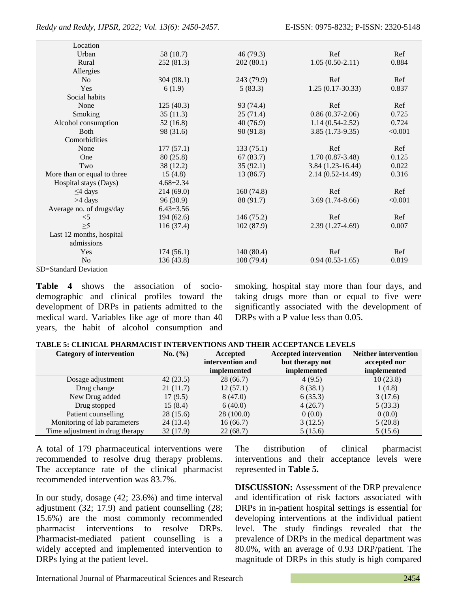| Location                    |                 |            |                      |         |
|-----------------------------|-----------------|------------|----------------------|---------|
| Urban                       | 58 (18.7)       | 46 (79.3)  | Ref                  | Ref     |
| Rural                       | 252 (81.3)      | 202(80.1)  | $1.05(0.50-2.11)$    | 0.884   |
| Allergies                   |                 |            |                      |         |
| N <sub>0</sub>              | 304(98.1)       | 243 (79.9) | Ref                  | Ref     |
| <b>Yes</b>                  | 6(1.9)          | 5(83.3)    | $1.25(0.17-30.33)$   | 0.837   |
| Social habits               |                 |            |                      |         |
| None                        | 125(40.3)       | 93 (74.4)  | Ref                  | Ref     |
| Smoking                     | 35(11.3)        | 25(71.4)   | $0.86(0.37-2.06)$    | 0.725   |
| Alcohol consumption         | 52 (16.8)       | 40(76.9)   | $1.14(0.54-2.52)$    | 0.724   |
| <b>B</b> oth                | 98 (31.6)       | 90(91.8)   | $3.85(1.73-9.35)$    | < 0.001 |
| Comorbidities               |                 |            |                      |         |
| None                        | 177(57.1)       | 133(75.1)  | Ref                  | Ref     |
| One                         | 80 (25.8)       | 67 (83.7)  | $1.70(0.87-3.48)$    | 0.125   |
| Two                         | 38 (12.2)       | 35(92.1)   | $3.84(1.23-16.44)$   | 0.022   |
| More than or equal to three | 15(4.8)         | 13(86.7)   | $2.14(0.52 - 14.49)$ | 0.316   |
| Hospital stays (Days)       | $4.68 \pm 2.34$ |            |                      |         |
| $\leq$ 4 days               | 214(69.0)       | 160(74.8)  | Ref                  | Ref     |
| $>4$ days                   | 96(30.9)        | 88 (91.7)  | $3.69(1.74-8.66)$    | < 0.001 |
| Average no. of drugs/day    | $6.43 \pm 3.56$ |            |                      |         |
| $<$ 5                       | 194(62.6)       | 146 (75.2) | Ref                  | Ref     |
| $\geq 5$                    | 116(37.4)       | 102(87.9)  | $2.39(1.27-4.69)$    | 0.007   |
| Last 12 months, hospital    |                 |            |                      |         |
| admissions                  |                 |            |                      |         |
| Yes                         | 174(56.1)       | 140(80.4)  | Ref                  | Ref     |
| No                          | 136 (43.8)      | 108 (79.4) | $0.94(0.53-1.65)$    | 0.819   |

SD=Standard Deviation

**Table 4** shows the association of sociodemographic and clinical profiles toward the development of DRPs in patients admitted to the medical ward. Variables like age of more than 40 years, the habit of alcohol consumption and smoking, hospital stay more than four days, and taking drugs more than or equal to five were significantly associated with the development of DRPs with a P value less than 0.05.

| <b>TABLE 5: CLINICAL PHARMACIST INTERVENTIONS AND THEIR ACCEPTANCE LEVELS</b> |  |
|-------------------------------------------------------------------------------|--|
|-------------------------------------------------------------------------------|--|

| <b>Category of intervention</b> | No. (%)  | Accepted           | <b>Accepted intervention</b> | <b>Neither intervention</b> |
|---------------------------------|----------|--------------------|------------------------------|-----------------------------|
|                                 |          | intervention and   | but therapy not              | accepted nor                |
|                                 |          | <i>implemented</i> | implemented                  | implemented                 |
| Dosage adjustment               | 42(23.5) | 28 (66.7)          | 4(9.5)                       | 10(23.8)                    |
| Drug change                     | 21(11.7) | 12(57.1)           | 8(38.1)                      | 1(4.8)                      |
| New Drug added                  | 17(9.5)  | 8(47.0)            | 6(35.3)                      | 3(17.6)                     |
| Drug stopped                    | 15(8.4)  | 6(40.0)            | 4(26.7)                      | 5(33.3)                     |
| Patient counselling             | 28(15.6) | 28(100.0)          | 0(0.0)                       | 0(0.0)                      |
| Monitoring of lab parameters    | 24(13.4) | 16(66.7)           | 3(12.5)                      | 5(20.8)                     |
| Time adjustment in drug therapy | 32(17.9) | 22(68.7)           | 5(15.6)                      | 5(15.6)                     |

A total of 179 pharmaceutical interventions were recommended to resolve drug therapy problems. The acceptance rate of the clinical pharmacist recommended intervention was 83.7%.

In our study, dosage (42; 23.6%) and time interval adjustment (32; 17.9) and patient counselling (28; 15.6%) are the most commonly recommended pharmacist interventions to resolve DRPs. Pharmacist-mediated patient counselling is a widely accepted and implemented intervention to DRPs lying at the patient level.

The distribution of clinical pharmacist interventions and their acceptance levels were represented in **Table 5.**

**DISCUSSION:** Assessment of the DRP prevalence and identification of risk factors associated with DRPs in in-patient hospital settings is essential for developing interventions at the individual patient level. The study findings revealed that the prevalence of DRPs in the medical department was 80.0%, with an average of 0.93 DRP/patient. The magnitude of DRPs in this study is high compared

International Journal of Pharmaceutical Sciences and Research 2454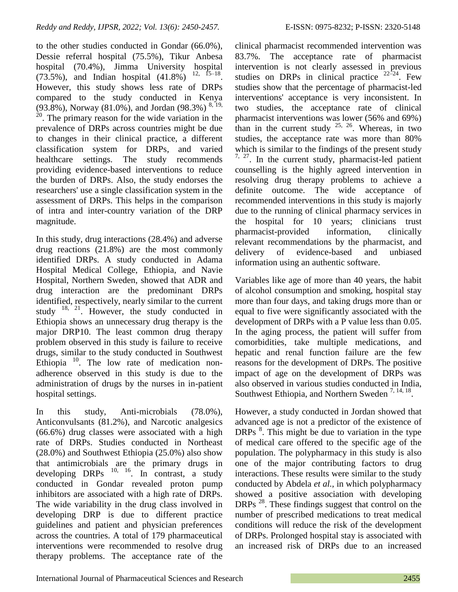to the other studies conducted in Gondar (66.0%), Dessie referral hospital (75.5%), Tikur Anbesa hospital (70.4%), Jimma University hospital  $(73.5\%)$ , and Indian hospital  $(41.8\%)$ <sup>12, 15–18</sup>. However, this study shows less rate of DRPs compared to the study conducted in Kenya (93.8%), Norway (81.0%), and Jordan (98.3%)  $8,19,$  $2<sup>20</sup>$ . The primary reason for the wide variation in the prevalence of DRPs across countries might be due to changes in their clinical practice, a different classification system for DRPs, and varied healthcare settings. The study recommends providing evidence-based interventions to reduce the burden of DRPs. Also, the study endorses the researchers' use a single classification system in the assessment of DRPs. This helps in the comparison of intra and inter-country variation of the DRP magnitude.

In this study, drug interactions (28.4%) and adverse drug reactions (21.8%) are the most commonly identified DRPs. A study conducted in Adama Hospital Medical College, Ethiopia, and Navie Hospital, Northern Sweden, showed that ADR and drug interaction are the predominant DRPs identified, respectively, nearly similar to the current study  $18$ ,  $21$ . However, the study conducted in Ethiopia shows an unnecessary drug therapy is the major DRP10. The least common drug therapy problem observed in this study is failure to receive drugs, similar to the study conducted in Southwest Ethiopia  $10$ . The low rate of medication nonadherence observed in this study is due to the administration of drugs by the nurses in in-patient hospital settings.

In this study, Anti-microbials (78.0%), Anticonvulsants (81.2%), and Narcotic analgesics (66.6%) drug classes were associated with a high rate of DRPs. Studies conducted in Northeast (28.0%) and Southwest Ethiopia (25.0%) also show that antimicrobials are the primary drugs in developing  $DRPs$ <sup>10, 16</sup>. In contrast, a study conducted in Gondar revealed proton pump inhibitors are associated with a high rate of DRPs. The wide variability in the drug class involved in developing DRP is due to different practice guidelines and patient and physician preferences across the countries. A total of 179 pharmaceutical interventions were recommended to resolve drug therapy problems. The acceptance rate of the clinical pharmacist recommended intervention was 83.7%. The acceptance rate of pharmacist intervention is not clearly assessed in previous studies on DRPs in clinical practice  $22-24$ . Few studies show that the percentage of pharmacist-led interventions' acceptance is very inconsistent. In two studies, the acceptance rate of clinical pharmacist interventions was lower (56% and 69%) than in the current study  $25, 26$ . Whereas, in two studies, the acceptance rate was more than 80% which is similar to the findings of the present study  $7, 27$ . In the current study, pharmacist-led patient counselling is the highly agreed intervention in resolving drug therapy problems to achieve a definite outcome. The wide acceptance of recommended interventions in this study is majorly due to the running of clinical pharmacy services in the hospital for 10 years; clinicians trust pharmacist-provided information, clinically relevant recommendations by the pharmacist, and delivery of evidence-based and unbiased information using an authentic software.

Variables like age of more than 40 years, the habit of alcohol consumption and smoking, hospital stay more than four days, and taking drugs more than or equal to five were significantly associated with the development of DRPs with a P value less than 0.05. In the aging process, the patient will suffer from comorbidities, take multiple medications, and hepatic and renal function failure are the few reasons for the development of DRPs. The positive impact of age on the development of DRPs was also observed in various studies conducted in India, Southwest Ethiopia, and Northern Sweden<sup>7, 14, 18</sup>.

However, a study conducted in Jordan showed that advanced age is not a predictor of the existence of DRPs <sup>8</sup>. This might be due to variation in the type of medical care offered to the specific age of the population. The polypharmacy in this study is also one of the major contributing factors to drug interactions. These results were similar to the study conducted by Abdela *et al.,* in which polypharmacy showed a positive association with developing DRPs  $^{28}$ . These findings suggest that control on the number of prescribed medications to treat medical conditions will reduce the risk of the development of DRPs. Prolonged hospital stay is associated with an increased risk of DRPs due to an increased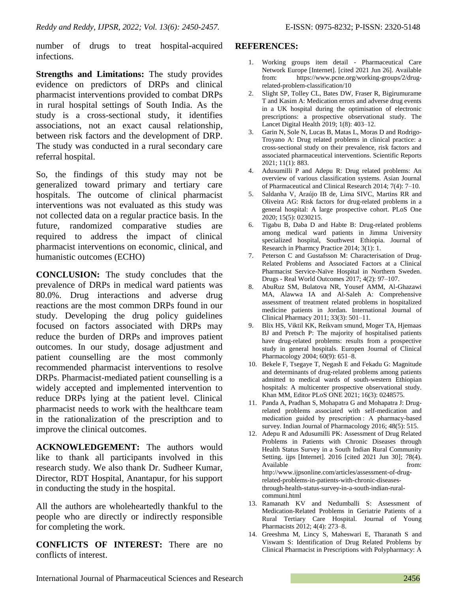number of drugs to treat hospital-acquired infections.

**Strengths and Limitations:** The study provides evidence on predictors of DRPs and clinical pharmacist interventions provided to combat DRPs in rural hospital settings of South India. As the study is a cross-sectional study, it identifies associations, not an exact causal relationship, between risk factors and the development of DRP. The study was conducted in a rural secondary care referral hospital.

So, the findings of this study may not be generalized toward primary and tertiary care hospitals. The outcome of clinical pharmacist interventions was not evaluated as this study was not collected data on a regular practice basis. In the future, randomized comparative studies are required to address the impact of clinical pharmacist interventions on economic, clinical, and humanistic outcomes (ECHO)

**CONCLUSION:** The study concludes that the prevalence of DRPs in medical ward patients was 80.0%. Drug interactions and adverse drug reactions are the most common DRPs found in our study. Developing the drug policy guidelines focused on factors associated with DRPs may reduce the burden of DRPs and improves patient outcomes. In our study, dosage adjustment and patient counselling are the most commonly recommended pharmacist interventions to resolve DRPs. Pharmacist-mediated patient counselling is a widely accepted and implemented intervention to reduce DRPs lying at the patient level. Clinical pharmacist needs to work with the healthcare team in the rationalization of the prescription and to improve the clinical outcomes.

**ACKNOWLEDGEMENT:** The authors would like to thank all participants involved in this research study. We also thank Dr. Sudheer Kumar, Director, RDT Hospital, Anantapur, for his support in conducting the study in the hospital.

All the authors are wholeheartedly thankful to the people who are directly or indirectly responsible for completing the work.

**CONFLICTS OF INTEREST:** There are no conflicts of interest.

## **REFERENCES:**

- 1. Working groups item detail Pharmaceutical Care Network Europe [Internet]. [cited 2021 Jun 26]. Available from: https://www.pcne.org/working-groups/2/drugrelated-problem-classification/10
- 2. Slight SP, Tolley CL, Bates DW, Fraser R, Bigirumurame T and Kasim A: Medication errors and adverse drug events in a UK hospital during the optimisation of electronic prescriptions: a prospective observational study. The Lancet Digital Health 2019; 1(8): 403–12.
- 3. Garin N, Sole N, Lucas B, Matas L, Moras D and Rodrigo-Troyano A: Drug related problems in clinical practice: a cross-sectional study on their prevalence, risk factors and associated pharmaceutical interventions. Scientific Reports 2021; 11(1): 883.
- 4. Adusumilli P and Adepu R: Drug related problems: An overview of various classification systems. Asian Journal of Pharmaceutical and Clinical Research 2014; 7(4): 7–10.
- 5. Saldanha V, Araújo IB de, Lima SIVC, Martins RR and Oliveira AG: Risk factors for drug-related problems in a general hospital: A large prospective cohort. PLoS One 2020; 15(5): 0230215.
- 6. Tigabu B, Daba D and Habte B: Drug-related problems among medical ward patients in Jimma University specialized hospital, Southwest Ethiopia. Journal of Research in Pharmcy Practice 2014; 3(1): 1.
- 7. Peterson C and Gustafsson M: Characterisation of Drug-Related Problems and Associated Factors at a Clinical Pharmacist Service-Naïve Hospital in Northern Sweden. Drugs - Real World Outcomes 2017; 4(2): 97–107.
- 8. AbuRuz SM, Bulatova NR, Yousef AMM, Al-Ghazawi MA, Alawwa IA and Al-Saleh A: Comprehensive assessment of treatment related problems in hospitalized medicine patients in Jordan. International Journal of Clinical Pharmacy 2011; 33(3): 501–11.
- 9. Blix HS, Viktil KK, Reikvam smund, Moger TA, Hjemaas BJ and Pretsch P: The majority of hospitalised patients have drug-related problems: results from a prospective study in general hospitals. Europen Journal of Clinical Pharmacology 2004; 60(9): 651–8.
- 10. Bekele F, Tsegaye T, Negash E and Fekadu G: Magnitude and determinants of drug-related problems among patients admitted to medical wards of south-western Ethiopian hospitals: A multicenter prospective observational study. Khan MM, Editor PLoS ONE 2021; 16(3): 0248575.
- 11. Panda A, Pradhan S, Mohapatra G and Mohapatra J: Drugrelated problems associated with self-medication and medication guided by prescription : A pharmacy-based survey. Indian Journal of Pharmacology 2016; 48(5): 515.
- 12. Adepu R and Adusumilli PK: Assessment of Drug Related Problems in Patients with Chronic Diseases through Health Status Survey in a South Indian Rural Community Setting. ijps [Internet]. 2016 [cited 2021 Jun 30]; 78(4). Available from: http://www.ijpsonline.com/articles/assessment-of-drugrelated-problems-in-patients-with-chronic-diseasesthrough-health-status-survey-in-a-south-indian-ruralcommuni.html
- 13. Ramanath KV and Nedumballi S: Assessment of Medication-Related Problems in Geriatrie Patients of a Rural Tertiary Care Hospital. Journal of Young Pharmacists 2012; 4(4): 273–8.
- 14. Greeshma M, Lincy S, Maheswari E, Tharanath S and Viswam S: Identification of Drug Related Problems by Clinical Pharmacist in Prescriptions with Polypharmacy: A